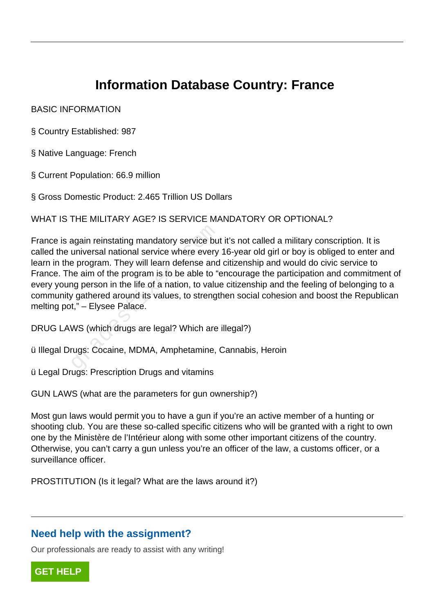# **Information Database Country: France**

#### BASIC INFORMATION

§ Country Established: 987

- § Native Language: French
- § Current Population: 66.9 million

§ Gross Domestic Product: 2.465 Trillion US Dollars

WHAT IS THE MILITARY AGE? IS SERVICE MANDATORY OR OPTIONAL?

France is again reinstating mandatory service but it's not called a military conscription. It is called the universal national service where every 16-year old girl or boy is obliged to enter and learn in the program. They will learn defense and citizenship and would do civic service to France. The aim of the program is to be able to "encourage the participation and commitment of every young person in the life of a nation, to value citizenship and the feeling of belonging to a community gathered around its values, to strengthen social cohesion and boost the Republican melting pot," – Elysee Palace. again reinstating mandatory service but<br>universal national service where every<br>e program. They will learn defense and<br>ne aim of the program is to be able to "<br>ig person in the life of a nation, to value<br>y gathered around i

DRUG LAWS (which drugs are legal? Which are illegal?)

ü Illegal Drugs: Cocaine, MDMA, Amphetamine, Cannabis, Heroin

ü Legal Drugs: Prescription Drugs and vitamins

GUN LAWS (what are the parameters for gun ownership?)

Most gun laws would permit you to have a gun if you're an active member of a hunting or shooting club. You are these so-called specific citizens who will be granted with a right to own one by the Ministère de l'Intérieur along with some other important citizens of the country. Otherwise, you can't carry a gun unless you're an officer of the law, a customs officer, or a surveillance officer.

PROSTITUTION (Is it legal? What are the laws around it?)

### **Need help with the assignment?**

Our professionals are ready to assist with any writing!